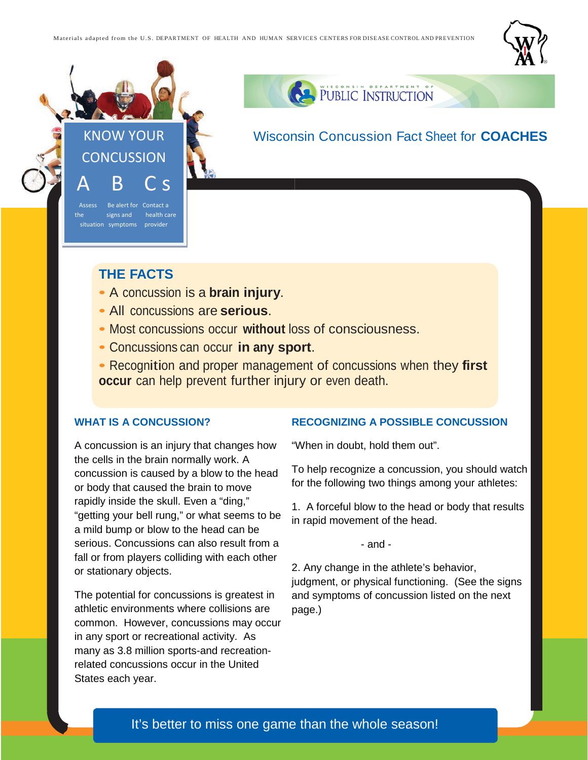



PUBLIC INSTRUCTION

# Wisconsin Concussion Fact Sheet for **COACHES**

## **THE FACTS**

situation symptoms provider

- A concussion is a **brain injury**.
- All concussions are **serious**.
- Most concussions occur **without** loss of consciousness.
- Concussions can occur **in any sport**.
- Recognition and proper management of concussions when they **first occur** can help prevent further injury or even death.

#### **WHAT IS A CONCUSSION?**

A concussion is an injury that changes how the cells in the brain normally work. A concussion is caused by a blow to the head or body that caused the brain to move rapidly inside the skull. Even a "ding," "getting your bell rung," or what seems to be a mild bump or blow to the head can be serious. Concussions can also result from a fall or from players colliding with each other or stationary objects.

The potential for concussions is greatest in athletic environments where collisions are common. However, concussions may occur in any sport or recreational activity. As many as 3.8 million sports-and recreationrelated concussions occur in the United States each year.

### **It's Executive CONSTRAINTING CONSTRAINTING RECOGNIZING A POSSIBLE CONCUSSION**

"When in doubt, hold them out".

To help recognize a concussion, you should watch for the following two things among your athletes:

1. A forceful blow to the head or body that results in rapid movement of the head.

- and -

2. Any change in the athlete's behavior, judgment, or physical functioning. (See the signs and symptoms of concussion listed on the next page.)

### It's better to miss one game than the whole season!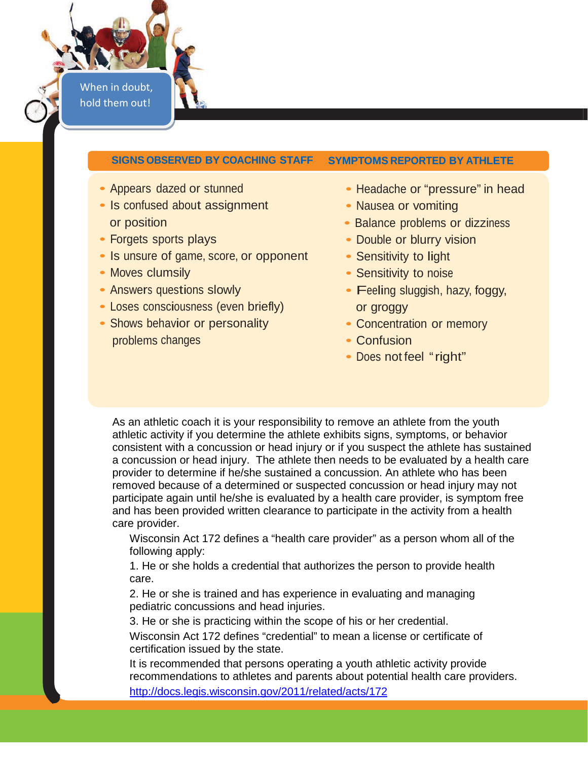When in doubt, hold them out!

### **SIGNS OBSERVED BY COACHING STAFF SYMPTOMS REPORTED BY ATHLETE**

- 
- Is confused about assignment Nausea or vomiting or position **• Balance problems or dizziness**
- Forgets sports plays Double or blurry vision
- Is unsure of game, score, or opponent Sensitivity to light
- 
- 
- Loses consciousness (even briefly) or groggy
- Shows behavior or personality Concentration or memory problems changes **• Confusion**
- Appears dazed or stunned Headache or "pressure" in head
	-
	-
	-
	-
- Moves clumsily  **Sensitivity to noise**
- Answers questions slowly  **Feeling sluggish, hazy, foggy,** 
	-
	-
	- Does not feel "right"

As an athletic coach it is your responsibility to remove an athlete from the youth athletic activity if you determine the athlete exhibits signs, symptoms, or behavior consistent with a concussion or head injury or if you suspect the athlete has sustained a concussion or head injury. The athlete then needs to be evaluated by a health care provider to determine if he/she sustained a concussion. An athlete who has been removed because of a determined or suspected concussion or head injury may not participate again until he/she is evaluated by a health care provider, is symptom free and has been provided written clearance to participate in the activity from a health care provider.

Wisconsin Act 172 defines a "health care provider" as a person whom all of the following apply:

1. He or she holds a credential that authorizes the person to provide health care.

2. He or she is trained and has experience in evaluating and managing pediatric concussions and head injuries.

3. He or she is practicing within the scope of his or her credential.

Wisconsin Act 172 defines "credential" to mean a license or certificate of certification issued by the state.

It is recommended that persons operating a youth athletic activity provide recommendations to athletes and parents about potential health care providers. <http://docs.legis.wisconsin.gov/2011/related/acts/172>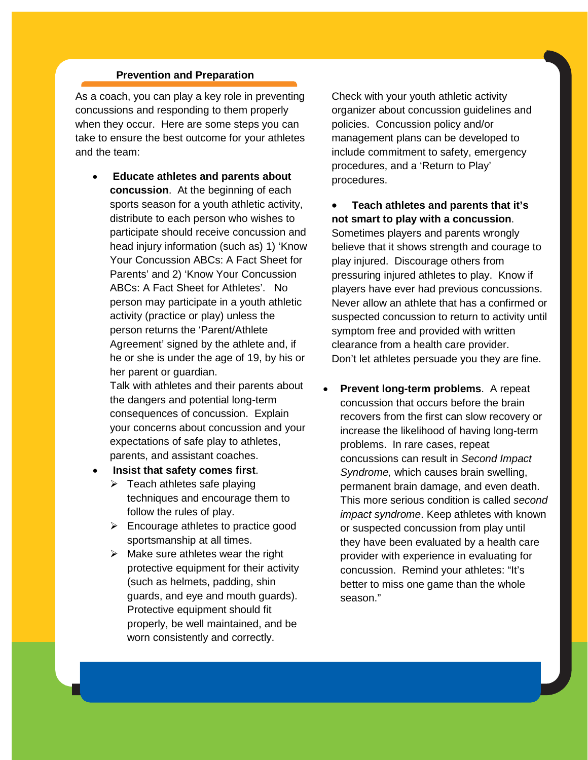### **Prevention and Preparation**

As a coach, you can play a key role in preventing concussions and responding to them properly when they occur. Here are some steps you can take to ensure the best outcome for your athletes and the team:

• **Educate athletes and parents about concussion**. At the beginning of each sports season for a youth athletic activity, distribute to each person who wishes to participate should receive concussion and head injury information (such as) 1) 'Know Your Concussion ABCs: A Fact Sheet for Parents' and 2) 'Know Your Concussion ABCs: A Fact Sheet for Athletes'. No person may participate in a youth athletic activity (practice or play) unless the person returns the 'Parent/Athlete Agreement' signed by the athlete and, if he or she is under the age of 19, by his or her parent or guardian.

Talk with athletes and their parents about the dangers and potential long-term consequences of concussion. Explain your concerns about concussion and your expectations of safe play to athletes, parents, and assistant coaches.

- **Insist that safety comes first**.
	- $\triangleright$  Teach athletes safe playing techniques and encourage them to follow the rules of play.
	- $\triangleright$  Encourage athletes to practice good sportsmanship at all times.
	- $\triangleright$  Make sure athletes wear the right protective equipment for their activity (such as helmets, padding, shin guards, and eye and mouth guards). Protective equipment should fit properly, be well maintained, and be worn consistently and correctly.

Check with your youth athletic activity organizer about concussion guidelines and policies. Concussion policy and/or management plans can be developed to include commitment to safety, emergency procedures, and a 'Return to Play' procedures.

• **Teach athletes and parents that it's not smart to play with a concussion**. Sometimes players and parents wrongly believe that it shows strength and courage to play injured. Discourage others from pressuring injured athletes to play. Know if players have ever had previous concussions. Never allow an athlete that has a confirmed or suspected concussion to return to activity until symptom free and provided with written clearance from a health care provider. Don't let athletes persuade you they are fine.

• **Prevent long-term problems**. A repeat concussion that occurs before the brain recovers from the first can slow recovery or increase the likelihood of having long-term problems. In rare cases, repeat concussions can result in *Second Impact Syndrome,* which causes brain swelling, permanent brain damage, and even death. This more serious condition is called *second impact syndrome*. Keep athletes with known or suspected concussion from play until they have been evaluated by a health care provider with experience in evaluating for concussion. Remind your athletes: "It's better to miss one game than the whole season."